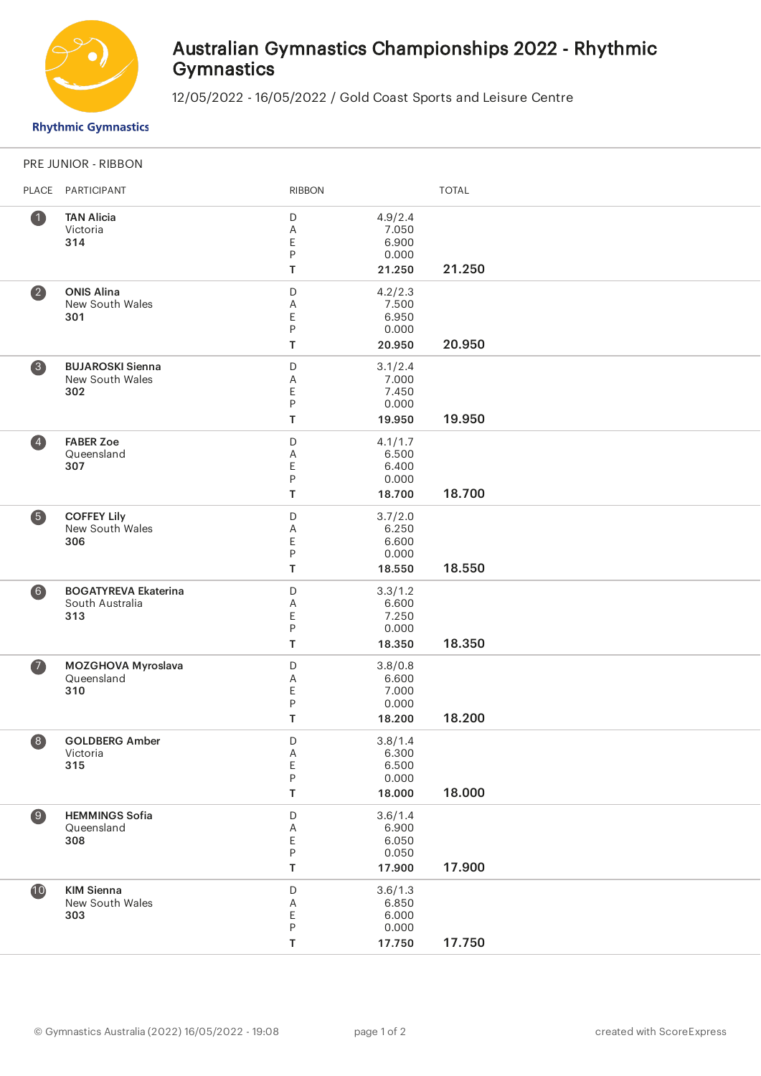

## Australian Gymnastics Championships 2022 - Rhythmic **Gymnastics**

12/05/2022 - 16/05/2022 / Gold Coast Sports and Leisure Centre

**Rhythmic Gymnastics** 

## PRE JUNIOR - RIBBON

| PLACE                        | PARTICIPANT                                           | <b>RIBBON</b>                 |                                              | <b>TOTAL</b> |
|------------------------------|-------------------------------------------------------|-------------------------------|----------------------------------------------|--------------|
| $\bullet$                    | <b>TAN Alicia</b><br>Victoria<br>314                  | D<br>Α<br>Ε<br>P<br>T         | 4.9/2.4<br>7.050<br>6.900<br>0.000<br>21.250 | 21.250       |
| $\overline{\mathbf{2}}$      | <b>ONIS Alina</b><br>New South Wales<br>301           | D<br>Α<br>Ε<br>P<br>T         | 4.2/2.3<br>7.500<br>6.950<br>0.000<br>20.950 | 20.950       |
| 3                            | <b>BUJAROSKI Sienna</b><br>New South Wales<br>302     | D<br>Α<br>E<br>P<br>T         | 3.1/2.4<br>7.000<br>7.450<br>0.000<br>19.950 | 19.950       |
| $\left( \frac{1}{2} \right)$ | <b>FABER Zoe</b><br>Queensland<br>307                 | D<br>Α<br>Ε<br>P<br>T         | 4.1/1.7<br>6.500<br>6.400<br>0.000<br>18.700 | 18.700       |
| 6                            | <b>COFFEY Lily</b><br>New South Wales<br>306          | D<br>Α<br>E<br>P<br>T         | 3.7/2.0<br>6.250<br>6.600<br>0.000<br>18.550 | 18.550       |
| 6)                           | <b>BOGATYREVA Ekaterina</b><br>South Australia<br>313 | D<br>Α<br>Ε<br>${\sf P}$<br>T | 3.3/1.2<br>6.600<br>7.250<br>0.000<br>18.350 | 18.350       |
| $\bullet$                    | MOZGHOVA Myroslava<br>Queensland<br>310               | D<br>Α<br>E<br>P<br>T         | 3.8/0.8<br>6.600<br>7.000<br>0.000<br>18.200 | 18.200       |
| 8                            | <b>GOLDBERG Amber</b><br>Victoria<br>315              | D<br>A<br>E<br>P<br>T         | 3.8/1.4<br>6.300<br>6.500<br>0.000<br>18.000 | 18.000       |
| $\bigcirc$                   | <b>HEMMINGS Sofia</b><br>Queensland<br>308            | D<br>Α<br>Ε<br>$\sf P$<br>T   | 3.6/1.4<br>6.900<br>6.050<br>0.050<br>17.900 | 17.900       |
| $\bullet$                    | <b>KIM Sienna</b><br>New South Wales<br>303           | D<br>Α<br>E<br>$\sf P$<br>T   | 3.6/1.3<br>6.850<br>6.000<br>0.000<br>17.750 | 17.750       |